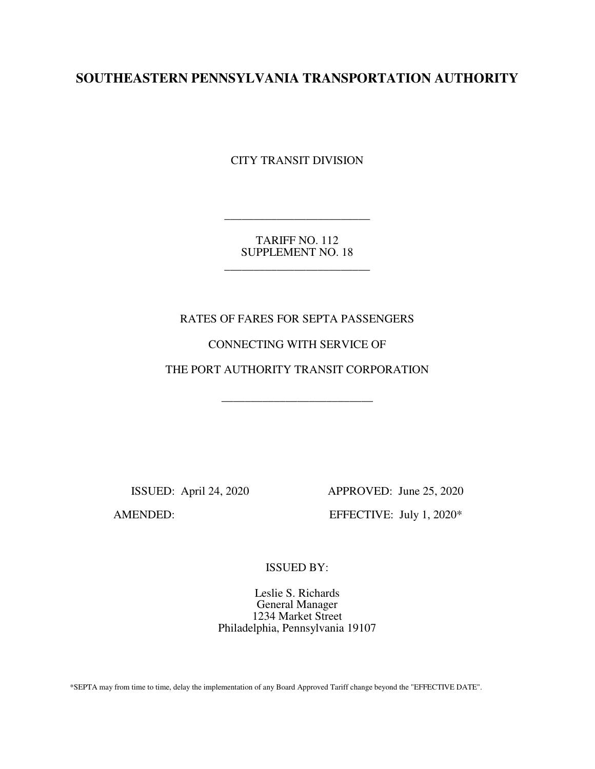# **SOUTHEASTERN PENNSYLVANIA TRANSPORTATION AUTHORITY**

CITY TRANSIT DIVISION

TARIFF NO. 112 SUPPLEMENT NO. 18

\_\_\_\_\_\_\_\_\_\_\_\_\_\_\_\_\_\_\_\_\_\_\_\_\_

\_\_\_\_\_\_\_\_\_\_\_\_\_\_\_\_\_\_\_\_\_\_\_\_\_

## RATES OF FARES FOR SEPTA PASSENGERS

### CONNECTING WITH SERVICE OF

THE PORT AUTHORITY TRANSIT CORPORATION

\_\_\_\_\_\_\_\_\_\_\_\_\_\_\_\_\_\_\_\_\_\_\_\_\_\_

 ISSUED: April 24, 2020 APPROVED: June 25, 2020 AMENDED: EFFECTIVE: July 1, 2020\*

ISSUED BY:

Leslie S. Richards General Manager 1234 Market Street Philadelphia, Pennsylvania 19107

\*SEPTA may from time to time, delay the implementation of any Board Approved Tariff change beyond the "EFFECTIVE DATE".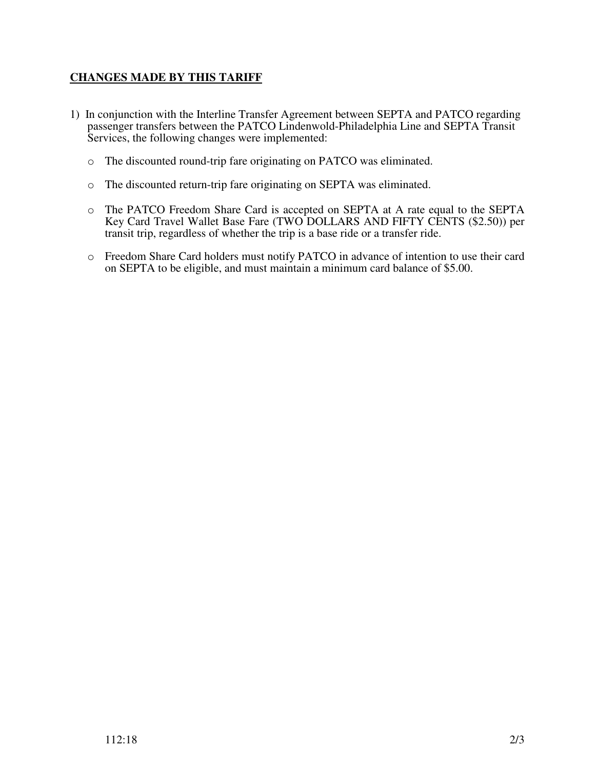# **CHANGES MADE BY THIS TARIFF**

- 1) In conjunction with the Interline Transfer Agreement between SEPTA and PATCO regarding passenger transfers between the PATCO Lindenwold-Philadelphia Line and SEPTA Transit Services, the following changes were implemented:
	- o The discounted round-trip fare originating on PATCO was eliminated.
	- o The discounted return-trip fare originating on SEPTA was eliminated.
	- o The PATCO Freedom Share Card is accepted on SEPTA at A rate equal to the SEPTA Key Card Travel Wallet Base Fare (TWO DOLLARS AND FIFTY CENTS (\$2.50)) per transit trip, regardless of whether the trip is a base ride or a transfer ride.
	- o Freedom Share Card holders must notify PATCO in advance of intention to use their card on SEPTA to be eligible, and must maintain a minimum card balance of \$5.00.